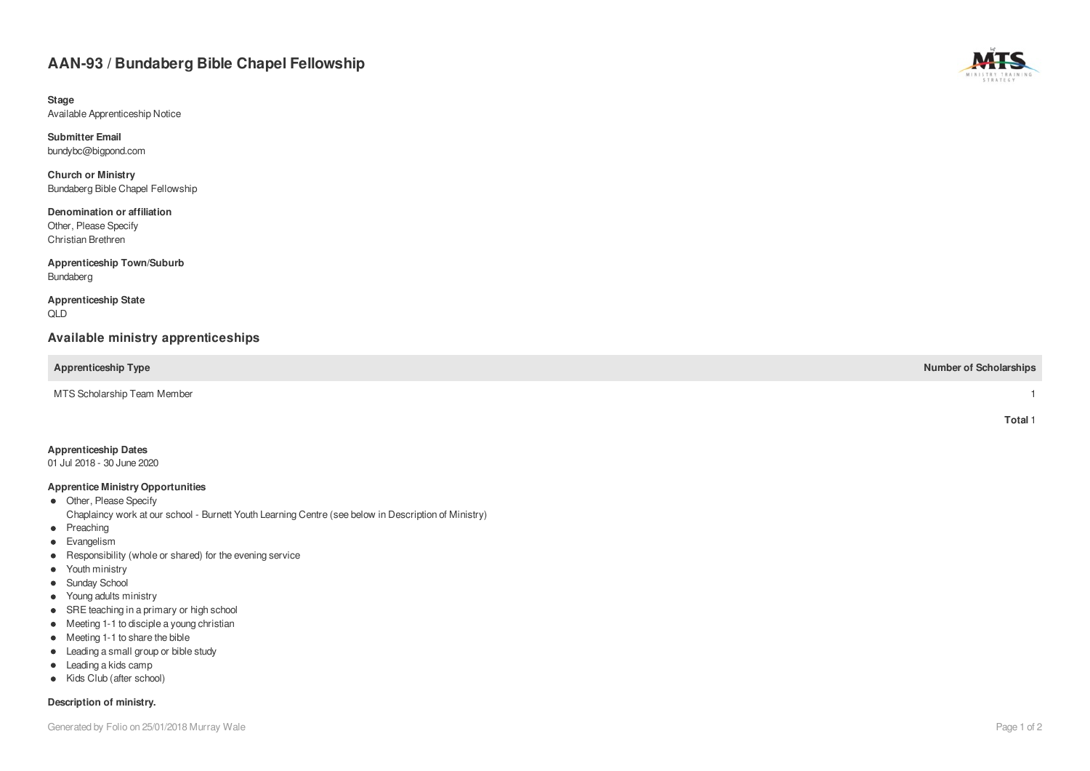# AAN-93 / Bundaberg Bible Chapel Fellowship

**S t a g e** Available Apprenticeship Notice

**S u b m i t t e r E m a i l** bundybc@bigpond.com

**Church or Ministry** Bundaberg Bible Chapel Fellowship

Denomination or affiliation Other, Please Specify Christian Brethren

Apprenticeship Town/Suburb **Bundaberg** 

**Apprenticeship State** Q L D

### Available ministry apprenticeships

**Apprenticeship Type Number of Scholarships** 

MTS Scholarship Team Member

#### **Apprenticeship Dates**

01 Jul 2018 - 30 June 2020

#### **Apprentice Ministry Opportunities**

- Other, Please Specify Chaplaincy work at our school - Burnett Youth Learning Centre (see below in Description of Ministry)
- Preaching
- $\bullet$ Evangelism
- Responsibility (whole or shared) for the evening service
- Youth ministry
- Sunday School
- Young adults ministry
- SRE teaching in a primary or high school
- Meeting 1-1 to disciple a young christian
- Meeting 1-1 to share the bible
- Leading a small group or bible study
- Leading a kids camp
- Kids Club (after school)

#### Description of ministry.



**T o t a l** 1

1